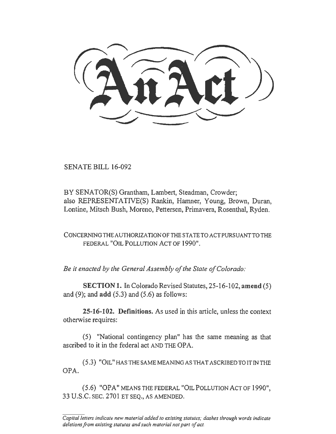SENATE BILL 16-092

BY SENATOR(S) Grantham, Lambert, Steadman, Crowder; also REPRESENTATIVE(S) Rankin, Hamner, Young, Brown, Duran, Lontine, Mitsch Bush, Moreno, Pettersen, Primavera, Rosenthal, Ryden.

CONCERNINGTHEAUTHORIZATIONOFTHESTATETOACTPURSUANTTOTHE FEDERAL "OIL POLLUTION ACT OF 1990".

*Be it enacted by the General Assembly of the State of Colorado:* 

SECTION 1. In Colorado Revised Statutes, 25-16-102, amend (5) and (9); and  $add(5.3)$  and  $(5.6)$  as follows:

25-16-102. Definitions. As used in this article, unless the context otherwise requires:

(5) "National contingency plan" has the same meaning as that ascribed to it in the federal act AND THE OPA.

(5.3) "OIL" HAS THE SAME MEANING AS THAT ASCRIBED TO IT IN THE OPA.

(5.6) "OPA" MEANS THE FEDERAL "OIL POLLUTION ACT OF 1990", 33 U.S.C. SEC. 2701 ET SEQ., AS AMENDED.

*Capital letters indicate new material added to existing statutes; dashes through words indicate deletions from existing statutes and such material not part of act.*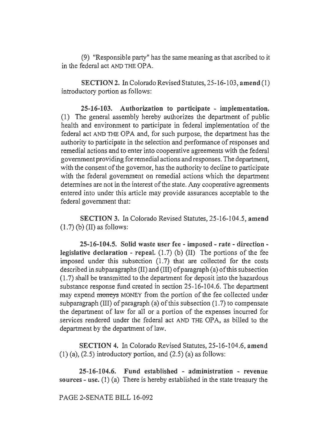(9) "Responsible party" has the same meaning as that ascribed to it in the federal act AND THE OPA.

SECTION 2. In Colorado Revised Statutes, 25-16-103, amend (I) introductory portion as follows:

25-16-103. Authorization to participate - implementation. (1) The general assembly hereby authorizes the department of public health and environment to participate in federal implementation of the federal act AND THE OPA and, for such purpose, the department has the authority to participate in the selection and perfonnance of responses and remedial actions and to enter into cooperative agreements with the federal government providing for remedial actions and responses. The department, with the consent of the governor, has the authority to decline to participate with the federal government on remedial actions which the department determines are not in the interest of the state. Any cooperative agreements entered into under this article may provide assurances acceptable to the federal government that:

SECTION 3. In Colorado Revised Statutes, 25-16-104.5, amend  $(1.7)$  (b)  $(II)$  as follows:

25-16-104.5. Solid waste user fee- imposed- rate- directionlegislative declaration - repeal.  $(1.7)$  (b)  $(II)$  The portions of the fee imposed under this subsection  $(1.7)$  that are collected for the costs described in subparagraphs (II) and (III) of paragraph (a) ofthis subsection (1.7) shall be transmitted to the department for deposit into the hazardous substance response fund created in section 25-16-104.6. The department may expend moneys MONEY from the portion of the fee collected under subparagraph (III) of paragraph (a) of this subsection (1.7) to compensate the department of law for all or a portion of the expenses incurred for services rendered under the federal act AND THE OPA, as billed to the department by the department of law.

SECTION 4. In Colorado Revised Statutes, 25-16-104.6, amend  $(1)$  (a),  $(2.5)$  introductory portion, and  $(2.5)$  (a) as follows:

25-16-104.6. Fund established - administration - revenue sources- use. (1) (a) There is hereby established in the state treasury the

PAGE 2-SENATE BILL 16-092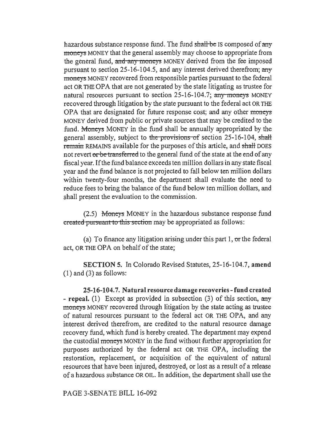hazardous substance response fund. The fund shall be IS composed of any moneys MONEY that the general assembly may choose to appropriate from the general fund, and any moneys MONEY derived from the fee imposed pursuant to section 25-16-104.5, and any interest derived therefrom; any moneys MONEY recovered from responsible parties pursuant to the federal act OR THE OPA that are not generated by the state litigating as trustee for natural resources pursuant to section 25-16-104.7; any moneys MONEY recovered through litigation by the state pursuant to the federal act OR THE OPA that are designated for future response cost; and any other moneys MONEY derived from public or private sources that may be credited to the fund. Moneys MONEY in the fund shall be annually appropriated by the general assembly, subject to the provisions of section 25-16-104, shall remain REMAINS available for the purposes of this article, and shall DOES not revert or be transferred to the general fund of the state at the end of any fiscal year. If the fund balance exceeds ten million dollars in any state fiscal year and the fund balance is not projected to fall below ten million dollars within twenty-four months, the department shall evaluate the need to reduce fees to bring the balance of the fund below ten million dollars, and shall present the evaluation to the commission.

 $(2.5)$  Moneys MONEY in the hazardous substance response fund created pursuant to this section may be appropriated as follows:

(a) To finance any litigation arising under this part  $1$ , or the federal act, OR THE OPA on behalf of the state;

SECTION 5. In Colorado Revised Statutes, 25-16-104.7, amend  $(1)$  and  $(3)$  as follows:

25-16-104.7. Natural resource damage recoveries-fund created - repeal. (1) Except as provided in subsection (3) of this section, any moneys MONEY recovered through litigation by the state acting as trustee of natural resources pursuant to the federal act OR THE OPA, and any interest derived therefrom, are credited to the natural resource damage recovery fund, which fund is hereby created. The department may expend the custodial moneys MONEY in the fund without further appropriation for purposes authorized by the federal act OR THE OPA, including the restoration, replacement, or acquisition of the equivalent of natural resources that have been injured, destroyed, or lost as a result of a release of a hazardous substance OR OIL. In addition, the department shall use the

PAGE 3-SENATE BILL 16-092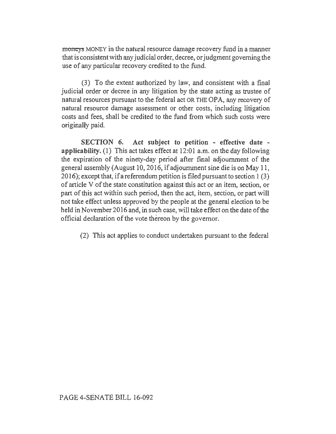moneys MONEY in the natural resource damage recovery fund in a manner that is consistent with any judicial order, decree, or judgment governing the use of any particular recovery credited to the fund.

(3) To the extent authorized by law, and consistent with a fmal judicial order or decree in any litigation by the state acting as trustee of natural resources pursuant to the federal act OR THE OPA, any recovery of natural resource damage assessment or other costs, including litigation costs and fees, shall be credited to the fund from which such costs were originally paid.

SECTION 6. Act subject to petition - effective date applicability. (1) This act takes effect at 12:01 a.m. on the day following the expiration of the ninety-day period after fmal adjournment of the general assembly (August 10,2016, if adjournment sine die is on May 11, 20 16); except that, if a referendum petition is filed pursuant to section 1 (3) of article V of the state constitution against this act or an item, section, or part of this act within such period, then the act, item, section, or part will not take effect unless approved by the people at the general election to be held in November 2016 and, in such case, will take effect on the date of the official declaration of the vote thereon by the governor.

(2) This act applies to conduct undertaken pursuant to the federal